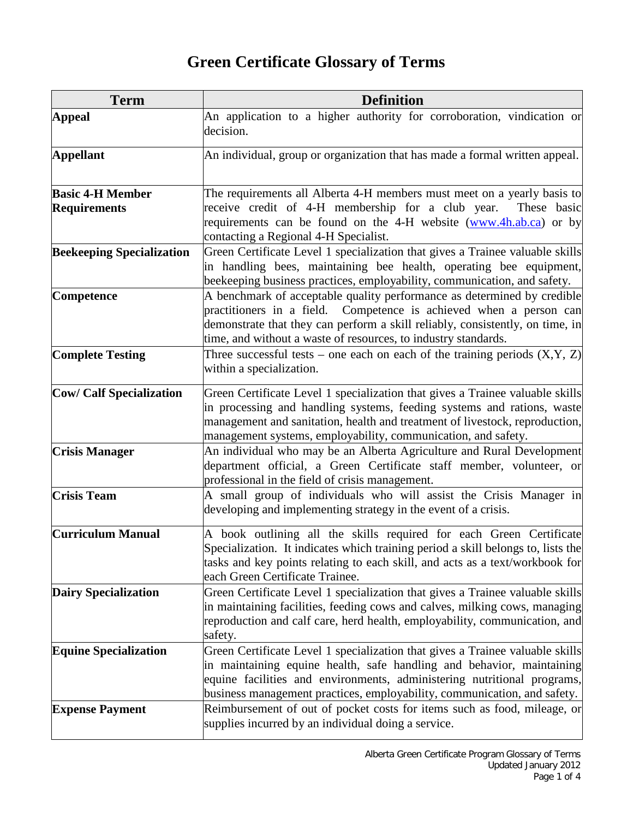## **Green Certificate Glossary of Terms**

| <b>Term</b>                      | <b>Definition</b>                                                                                                                                                                                                                                                                                             |
|----------------------------------|---------------------------------------------------------------------------------------------------------------------------------------------------------------------------------------------------------------------------------------------------------------------------------------------------------------|
| <b>Appeal</b>                    | An application to a higher authority for corroboration, vindication or<br>decision.                                                                                                                                                                                                                           |
| <b>Appellant</b>                 | An individual, group or organization that has made a formal written appeal.                                                                                                                                                                                                                                   |
| <b>Basic 4-H Member</b>          | The requirements all Alberta 4-H members must meet on a yearly basis to                                                                                                                                                                                                                                       |
| <b>Requirements</b>              | receive credit of 4-H membership for a club year.<br>These basic<br>requirements can be found on the 4-H website (www.4h.ab.ca) or by<br>contacting a Regional 4-H Specialist.                                                                                                                                |
| <b>Beekeeping Specialization</b> | Green Certificate Level 1 specialization that gives a Trainee valuable skills<br>in handling bees, maintaining bee health, operating bee equipment,<br>beekeeping business practices, employability, communication, and safety.                                                                               |
| Competence                       | A benchmark of acceptable quality performance as determined by credible<br>practitioners in a field. Competence is achieved when a person can<br>demonstrate that they can perform a skill reliably, consistently, on time, in<br>time, and without a waste of resources, to industry standards.              |
| <b>Complete Testing</b>          | Three successful tests – one each on each of the training periods $(X, Y, Z)$<br>within a specialization.                                                                                                                                                                                                     |
| <b>Cow/ Calf Specialization</b>  | Green Certificate Level 1 specialization that gives a Trainee valuable skills<br>in processing and handling systems, feeding systems and rations, waste<br>management and sanitation, health and treatment of livestock, reproduction,<br>management systems, employability, communication, and safety.       |
| <b>Crisis Manager</b>            | An individual who may be an Alberta Agriculture and Rural Development<br>department official, a Green Certificate staff member, volunteer, or<br>professional in the field of crisis management.                                                                                                              |
| <b>Crisis Team</b>               | A small group of individuals who will assist the Crisis Manager in<br>developing and implementing strategy in the event of a crisis.                                                                                                                                                                          |
| <b>Curriculum Manual</b>         | A book outlining all the skills required for each Green Certificate<br>Specialization. It indicates which training period a skill belongs to, lists the<br>tasks and key points relating to each skill, and acts as a text/workbook for<br>each Green Certificate Trainee.                                    |
| <b>Dairy Specialization</b>      | Green Certificate Level 1 specialization that gives a Trainee valuable skills<br>in maintaining facilities, feeding cows and calves, milking cows, managing<br>reproduction and calf care, herd health, employability, communication, and<br>safety.                                                          |
| <b>Equine Specialization</b>     | Green Certificate Level 1 specialization that gives a Trainee valuable skills<br>in maintaining equine health, safe handling and behavior, maintaining<br>equine facilities and environments, administering nutritional programs,<br>business management practices, employability, communication, and safety. |
| <b>Expense Payment</b>           | Reimbursement of out of pocket costs for items such as food, mileage, or<br>supplies incurred by an individual doing a service.                                                                                                                                                                               |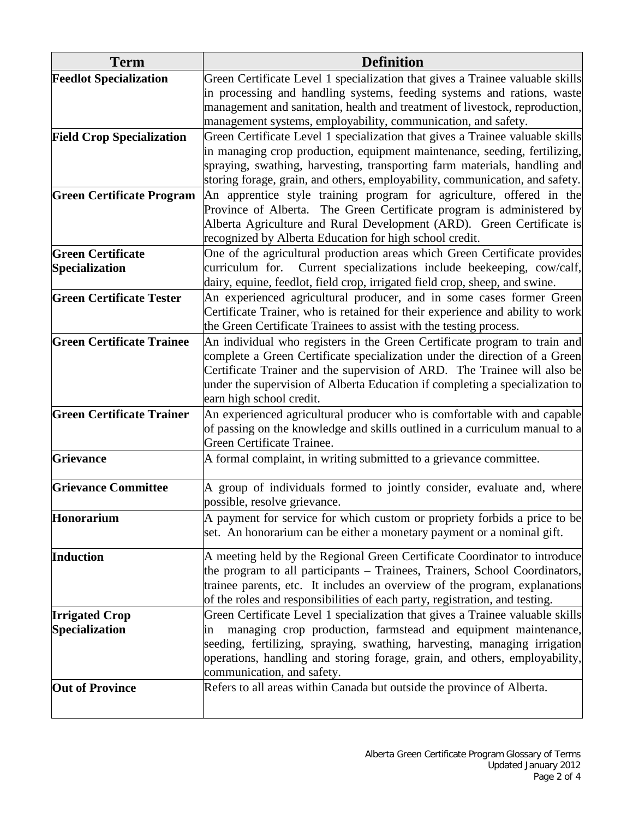| <b>Term</b>                      | <b>Definition</b>                                                                                                                |
|----------------------------------|----------------------------------------------------------------------------------------------------------------------------------|
| <b>Feedlot Specialization</b>    | Green Certificate Level 1 specialization that gives a Trainee valuable skills                                                    |
|                                  | in processing and handling systems, feeding systems and rations, waste                                                           |
|                                  | management and sanitation, health and treatment of livestock, reproduction,                                                      |
|                                  | management systems, employability, communication, and safety.                                                                    |
| <b>Field Crop Specialization</b> | Green Certificate Level 1 specialization that gives a Trainee valuable skills                                                    |
|                                  | in managing crop production, equipment maintenance, seeding, fertilizing,                                                        |
|                                  | spraying, swathing, harvesting, transporting farm materials, handling and                                                        |
|                                  | storing forage, grain, and others, employability, communication, and safety.                                                     |
| <b>Green Certificate Program</b> | An apprentice style training program for agriculture, offered in the                                                             |
|                                  | Province of Alberta. The Green Certificate program is administered by                                                            |
|                                  | Alberta Agriculture and Rural Development (ARD). Green Certificate is<br>recognized by Alberta Education for high school credit. |
| <b>Green Certificate</b>         | One of the agricultural production areas which Green Certificate provides                                                        |
| Specialization                   | curriculum for. Current specializations include beekeeping, cow/calf,                                                            |
|                                  | dairy, equine, feedlot, field crop, irrigated field crop, sheep, and swine.                                                      |
| <b>Green Certificate Tester</b>  | An experienced agricultural producer, and in some cases former Green                                                             |
|                                  | Certificate Trainer, who is retained for their experience and ability to work                                                    |
|                                  | the Green Certificate Trainees to assist with the testing process.                                                               |
| <b>Green Certificate Trainee</b> | An individual who registers in the Green Certificate program to train and                                                        |
|                                  | complete a Green Certificate specialization under the direction of a Green                                                       |
|                                  | Certificate Trainer and the supervision of ARD. The Trainee will also be                                                         |
|                                  | under the supervision of Alberta Education if completing a specialization to                                                     |
|                                  | earn high school credit.                                                                                                         |
| <b>Green Certificate Trainer</b> | An experienced agricultural producer who is comfortable with and capable                                                         |
|                                  | of passing on the knowledge and skills outlined in a curriculum manual to a                                                      |
|                                  | Green Certificate Trainee.                                                                                                       |
| <b>Grievance</b>                 | A formal complaint, in writing submitted to a grievance committee.                                                               |
| <b>Grievance Committee</b>       | A group of individuals formed to jointly consider, evaluate and, where                                                           |
|                                  | possible, resolve grievance.                                                                                                     |
| Honorarium                       | A payment for service for which custom or propriety forbids a price to be                                                        |
|                                  | set. An honorarium can be either a monetary payment or a nominal gift.                                                           |
| Induction                        | A meeting held by the Regional Green Certificate Coordinator to introduce                                                        |
|                                  | the program to all participants - Trainees, Trainers, School Coordinators,                                                       |
|                                  | trainee parents, etc. It includes an overview of the program, explanations                                                       |
|                                  | of the roles and responsibilities of each party, registration, and testing.                                                      |
| <b>Irrigated Crop</b>            | Green Certificate Level 1 specialization that gives a Trainee valuable skills                                                    |
| Specialization                   | managing crop production, farmstead and equipment maintenance,<br>1n                                                             |
|                                  | seeding, fertilizing, spraying, swathing, harvesting, managing irrigation                                                        |
|                                  | operations, handling and storing forage, grain, and others, employability,                                                       |
|                                  | communication, and safety.                                                                                                       |
| <b>Out of Province</b>           | Refers to all areas within Canada but outside the province of Alberta.                                                           |
|                                  |                                                                                                                                  |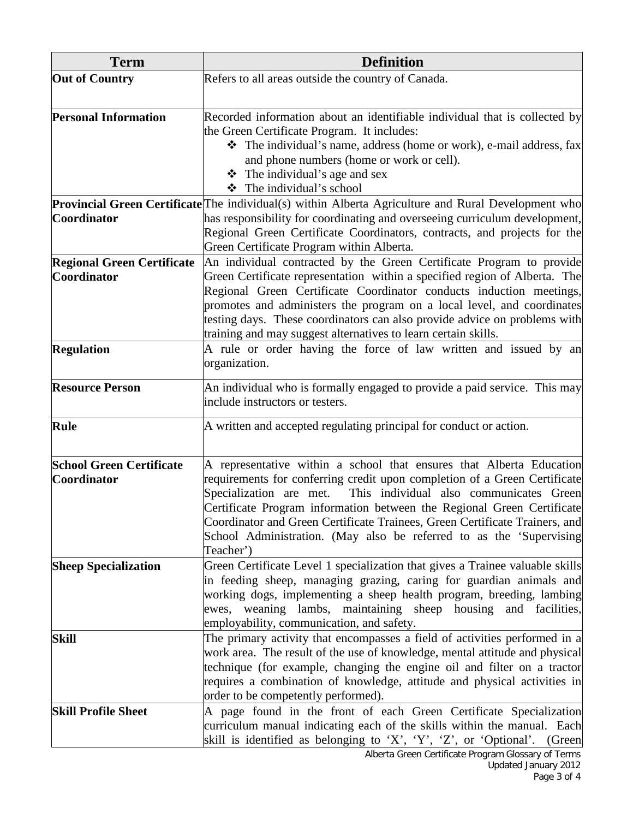| <b>Term</b>                       | <b>Definition</b>                                                                                                                                                                                                                                                                                                                                                          |
|-----------------------------------|----------------------------------------------------------------------------------------------------------------------------------------------------------------------------------------------------------------------------------------------------------------------------------------------------------------------------------------------------------------------------|
| <b>Out of Country</b>             | Refers to all areas outside the country of Canada.                                                                                                                                                                                                                                                                                                                         |
|                                   |                                                                                                                                                                                                                                                                                                                                                                            |
| <b>Personal Information</b>       | Recorded information about an identifiable individual that is collected by<br>the Green Certificate Program. It includes:                                                                                                                                                                                                                                                  |
|                                   | ❖ The individual's name, address (home or work), e-mail address, fax<br>and phone numbers (home or work or cell).<br>$\div$ The individual's age and sex                                                                                                                                                                                                                   |
|                                   | The individual's school<br>❖                                                                                                                                                                                                                                                                                                                                               |
|                                   | <b>Provincial Green Certificate</b> The individual(s) within Alberta Agriculture and Rural Development who                                                                                                                                                                                                                                                                 |
| <b>Coordinator</b>                | has responsibility for coordinating and overseeing curriculum development,                                                                                                                                                                                                                                                                                                 |
|                                   | Regional Green Certificate Coordinators, contracts, and projects for the<br>Green Certificate Program within Alberta.                                                                                                                                                                                                                                                      |
| <b>Regional Green Certificate</b> | An individual contracted by the Green Certificate Program to provide                                                                                                                                                                                                                                                                                                       |
| <b>Coordinator</b>                | Green Certificate representation within a specified region of Alberta. The<br>Regional Green Certificate Coordinator conducts induction meetings,<br>promotes and administers the program on a local level, and coordinates<br>testing days. These coordinators can also provide advice on problems with<br>training and may suggest alternatives to learn certain skills. |
| <b>Regulation</b>                 | A rule or order having the force of law written and issued by an<br>organization.                                                                                                                                                                                                                                                                                          |
| <b>Resource Person</b>            | An individual who is formally engaged to provide a paid service. This may<br>include instructors or testers.                                                                                                                                                                                                                                                               |
| <b>Rule</b>                       | A written and accepted regulating principal for conduct or action.                                                                                                                                                                                                                                                                                                         |
| <b>School Green Certificate</b>   | A representative within a school that ensures that Alberta Education                                                                                                                                                                                                                                                                                                       |
| <b>Coordinator</b>                | requirements for conferring credit upon completion of a Green Certificate                                                                                                                                                                                                                                                                                                  |
|                                   | This individual also communicates Green<br>Specialization are met.                                                                                                                                                                                                                                                                                                         |
|                                   | Certificate Program information between the Regional Green Certificate                                                                                                                                                                                                                                                                                                     |
|                                   | Coordinator and Green Certificate Trainees, Green Certificate Trainers, and<br>School Administration. (May also be referred to as the 'Supervising                                                                                                                                                                                                                         |
|                                   | Teacher')                                                                                                                                                                                                                                                                                                                                                                  |
| <b>Sheep Specialization</b>       | Green Certificate Level 1 specialization that gives a Trainee valuable skills                                                                                                                                                                                                                                                                                              |
|                                   | in feeding sheep, managing grazing, caring for guardian animals and                                                                                                                                                                                                                                                                                                        |
|                                   | working dogs, implementing a sheep health program, breeding, lambing                                                                                                                                                                                                                                                                                                       |
|                                   | ewes, weaning lambs, maintaining sheep housing and facilities,                                                                                                                                                                                                                                                                                                             |
|                                   | employability, communication, and safety.                                                                                                                                                                                                                                                                                                                                  |
| <b>Skill</b>                      | The primary activity that encompasses a field of activities performed in a                                                                                                                                                                                                                                                                                                 |
|                                   | work area. The result of the use of knowledge, mental attitude and physical                                                                                                                                                                                                                                                                                                |
|                                   | technique (for example, changing the engine oil and filter on a tractor<br>requires a combination of knowledge, attitude and physical activities in                                                                                                                                                                                                                        |
|                                   | order to be competently performed).                                                                                                                                                                                                                                                                                                                                        |
| <b>Skill Profile Sheet</b>        | A page found in the front of each Green Certificate Specialization                                                                                                                                                                                                                                                                                                         |
|                                   | curriculum manual indicating each of the skills within the manual. Each                                                                                                                                                                                                                                                                                                    |
|                                   | skill is identified as belonging to 'X', 'Y', 'Z', or 'Optional'.<br>(Green                                                                                                                                                                                                                                                                                                |
|                                   | Alberta Green Certificate Program Glossary of Terms                                                                                                                                                                                                                                                                                                                        |